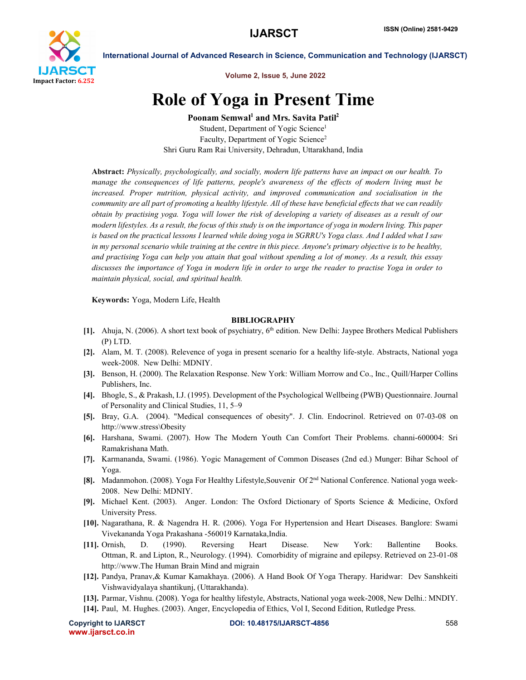

International Journal of Advanced Research in Science, Communication and Technology (IJARSCT)

Volume 2, Issue 5, June 2022

## Role of Yoga in Present Time

Poonam Semwal<sup>1</sup> and Mrs. Savita Patil<sup>2</sup> Student, Department of Yogic Science<sup>1</sup> Faculty, Department of Yogic Science<sup>2</sup> Shri Guru Ram Rai University, Dehradun, Uttarakhand, India

Abstract: *Physically, psychologically, and socially, modern life patterns have an impact on our health. To manage the consequences of life patterns, people's awareness of the effects of modern living must be increased. Proper nutrition, physical activity, and improved communication and socialisation in the community are all part of promoting a healthy lifestyle. All of these have beneficial effects that we can readily obtain by practising yoga. Yoga will lower the risk of developing a variety of diseases as a result of our modern lifestyles. As a result, the focus of this study is on the importance of yoga in modern living. This paper is based on the practical lessons I learned while doing yoga in SGRRU's Yoga class. And I added what I saw in my personal scenario while training at the centre in this piece. Anyone's primary objective is to be healthy, and practising Yoga can help you attain that goal without spending a lot of money. As a result, this essay discusses the importance of Yoga in modern life in order to urge the reader to practise Yoga in order to maintain physical, social, and spiritual health.*

Keywords: Yoga, Modern Life, Health

## BIBLIOGRAPHY

- [1]. Ahuja, N. (2006). A short text book of psychiatry, 6<sup>th</sup> edition. New Delhi: Jaypee Brothers Medical Publishers (P) LTD.
- [2]. Alam, M. T. (2008). Relevence of yoga in present scenario for a healthy life-style. Abstracts, National yoga week-2008. New Delhi: MDNIY.
- [3]. Benson, H. (2000). The Relaxation Response. New York: William Morrow and Co., Inc., Quill/Harper Collins Publishers, Inc.
- [4]. Bhogle, S., & Prakash, I.J. (1995). Development of the Psychological Wellbeing (PWB) Questionnaire. Journal of Personality and Clinical Studies, 11, 5–9
- [5]. Bray, G.A. (2004). "Medical consequences of obesity". J. Clin. Endocrinol. Retrieved on 07-03-08 on http://www.stress\Obesity
- [6]. Harshana, Swami. (2007). How The Modern Youth Can Comfort Their Problems. channi-600004: Sri Ramakrishana Math.
- [7]. Karmananda, Swami. (1986). Yogic Management of Common Diseases (2nd ed.) Munger: Bihar School of Yoga.
- [8]. Madanmohon. (2008). Yoga For Healthy Lifestyle,Souvenir Of 2nd National Conference. National yoga week-2008. New Delhi: MDNIY.
- [9]. Michael Kent. (2003). Anger. London: The Oxford Dictionary of Sports Science & Medicine, Oxford University Press.
- [10]. Nagarathana, R. & Nagendra H. R. (2006). Yoga For Hypertension and Heart Diseases. Banglore: Swami Vivekananda Yoga Prakashana -560019 Karnataka,India.
- [11]. Ornish, D. (1990). Reversing Heart Disease. New York: Ballentine Books. Ottman, R. and Lipton, R., Neurology. (1994). Comorbidity of migraine and epilepsy. Retrieved on 23-01-08 http://www.The Human Brain Mind and migrain
- [12]. Pandya, Pranav,& Kumar Kamakhaya. (2006). A Hand Book Of Yoga Therapy. Haridwar: Dev Sanshkeiti Vishwavidyalaya shantikunj, (Uttarakhanda).
- [13]. Parmar, Vishnu. (2008). Yoga for healthy lifestyle, Abstracts, National yoga week-2008, New Delhi.: MNDIY.
- [14]. Paul, M. Hughes. (2003). Anger, Encyclopedia of Ethics, Vol I, Second Edition, Rutledge Press.